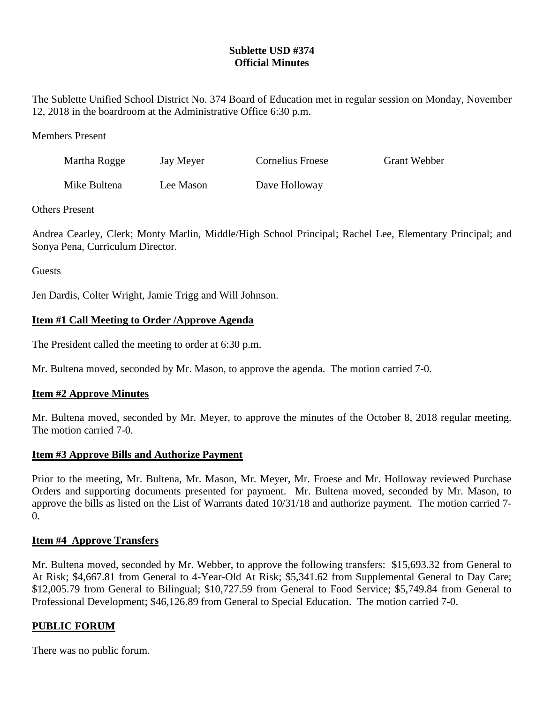# **Sublette USD #374 Official Minutes**

The Sublette Unified School District No. 374 Board of Education met in regular session on Monday, November 12, 2018 in the boardroom at the Administrative Office 6:30 p.m.

### Members Present

| Martha Rogge | Jay Meyer | Cornelius Froese | <b>Grant Webber</b> |
|--------------|-----------|------------------|---------------------|
| Mike Bultena | Lee Mason | Dave Holloway    |                     |

### Others Present

Andrea Cearley, Clerk; Monty Marlin, Middle/High School Principal; Rachel Lee, Elementary Principal; and Sonya Pena, Curriculum Director.

**Guests** 

Jen Dardis, Colter Wright, Jamie Trigg and Will Johnson.

# **Item #1 Call Meeting to Order /Approve Agenda**

The President called the meeting to order at 6:30 p.m.

Mr. Bultena moved, seconded by Mr. Mason, to approve the agenda. The motion carried 7-0.

## **Item #2 Approve Minutes**

Mr. Bultena moved, seconded by Mr. Meyer, to approve the minutes of the October 8, 2018 regular meeting. The motion carried 7-0.

## **Item #3 Approve Bills and Authorize Payment**

Prior to the meeting, Mr. Bultena, Mr. Mason, Mr. Meyer, Mr. Froese and Mr. Holloway reviewed Purchase Orders and supporting documents presented for payment. Mr. Bultena moved, seconded by Mr. Mason, to approve the bills as listed on the List of Warrants dated 10/31/18 and authorize payment. The motion carried 7-  $\Omega$ .

### **Item #4 Approve Transfers**

Mr. Bultena moved, seconded by Mr. Webber, to approve the following transfers: \$15,693.32 from General to At Risk; \$4,667.81 from General to 4-Year-Old At Risk; \$5,341.62 from Supplemental General to Day Care; \$12,005.79 from General to Bilingual; \$10,727.59 from General to Food Service; \$5,749.84 from General to Professional Development; \$46,126.89 from General to Special Education. The motion carried 7-0.

## **PUBLIC FORUM**

There was no public forum.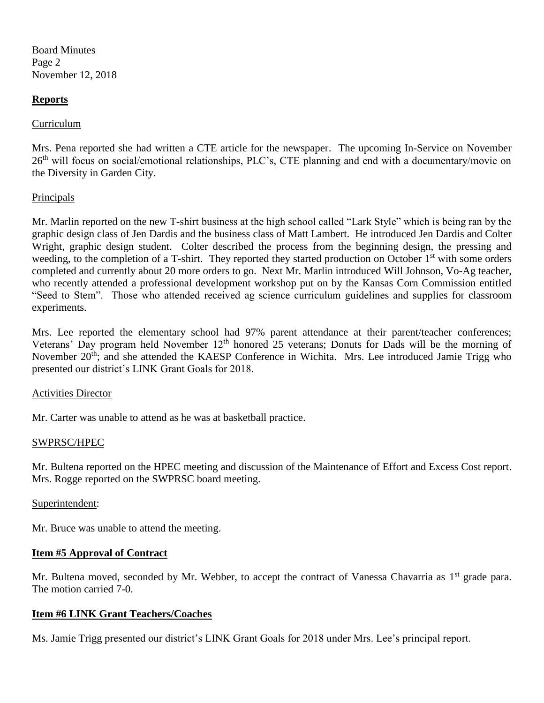Board Minutes Page 2 November 12, 2018

### **Reports**

### Curriculum

Mrs. Pena reported she had written a CTE article for the newspaper. The upcoming In-Service on November 26<sup>th</sup> will focus on social/emotional relationships, PLC's, CTE planning and end with a documentary/movie on the Diversity in Garden City.

### **Principals**

Mr. Marlin reported on the new T-shirt business at the high school called "Lark Style" which is being ran by the graphic design class of Jen Dardis and the business class of Matt Lambert. He introduced Jen Dardis and Colter Wright, graphic design student. Colter described the process from the beginning design, the pressing and weeding, to the completion of a T-shirt. They reported they started production on October 1<sup>st</sup> with some orders completed and currently about 20 more orders to go. Next Mr. Marlin introduced Will Johnson, Vo-Ag teacher, who recently attended a professional development workshop put on by the Kansas Corn Commission entitled "Seed to Stem". Those who attended received ag science curriculum guidelines and supplies for classroom experiments.

Mrs. Lee reported the elementary school had 97% parent attendance at their parent/teacher conferences; Veterans' Day program held November  $12<sup>th</sup>$  honored 25 veterans; Donuts for Dads will be the morning of November 20<sup>th</sup>; and she attended the KAESP Conference in Wichita. Mrs. Lee introduced Jamie Trigg who presented our district's LINK Grant Goals for 2018.

### Activities Director

Mr. Carter was unable to attend as he was at basketball practice.

### SWPRSC/HPEC

Mr. Bultena reported on the HPEC meeting and discussion of the Maintenance of Effort and Excess Cost report. Mrs. Rogge reported on the SWPRSC board meeting.

### Superintendent:

Mr. Bruce was unable to attend the meeting.

## **Item #5 Approval of Contract**

Mr. Bultena moved, seconded by Mr. Webber, to accept the contract of Vanessa Chavarria as 1<sup>st</sup> grade para. The motion carried 7-0.

### **Item #6 LINK Grant Teachers/Coaches**

Ms. Jamie Trigg presented our district's LINK Grant Goals for 2018 under Mrs. Lee's principal report.